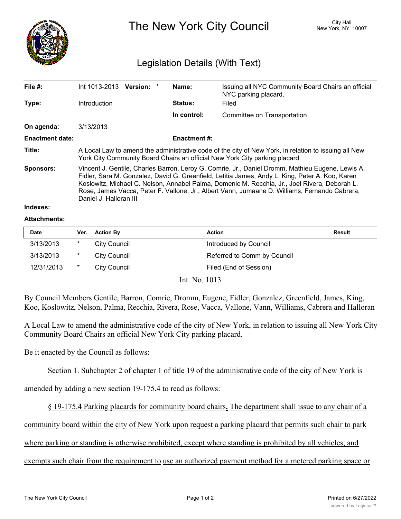

The New York City Council New York, NY 10007

# Legislation Details (With Text)

| File #:                | Int 1013-2013<br>Version: *                                                                                                                                                                                                                                                                                                                                                                                                     | Name:               | Issuing all NYC Community Board Chairs an official<br>NYC parking placard. |  |  |
|------------------------|---------------------------------------------------------------------------------------------------------------------------------------------------------------------------------------------------------------------------------------------------------------------------------------------------------------------------------------------------------------------------------------------------------------------------------|---------------------|----------------------------------------------------------------------------|--|--|
| Type:                  | Introduction                                                                                                                                                                                                                                                                                                                                                                                                                    | <b>Status:</b>      | Filed                                                                      |  |  |
|                        |                                                                                                                                                                                                                                                                                                                                                                                                                                 | In control:         | Committee on Transportation                                                |  |  |
| On agenda:             | 3/13/2013                                                                                                                                                                                                                                                                                                                                                                                                                       |                     |                                                                            |  |  |
| <b>Enactment date:</b> |                                                                                                                                                                                                                                                                                                                                                                                                                                 | <b>Enactment #:</b> |                                                                            |  |  |
| Title:                 | A Local Law to amend the administrative code of the city of New York, in relation to issuing all New<br>York City Community Board Chairs an official New York City parking placard.                                                                                                                                                                                                                                             |                     |                                                                            |  |  |
| <b>Sponsors:</b>       | Vincent J. Gentile, Charles Barron, Leroy G. Comrie, Jr., Daniel Dromm, Mathieu Eugene, Lewis A.<br>Fidler, Sara M. Gonzalez, David G. Greenfield, Letitia James, Andy L. King, Peter A. Koo, Karen<br>Koslowitz, Michael C. Nelson, Annabel Palma, Domenic M. Recchia, Jr., Joel Rivera, Deborah L.<br>Rose, James Vacca, Peter F. Vallone, Jr., Albert Vann, Jumaane D. Williams, Fernando Cabrera,<br>Daniel J. Halloran III |                     |                                                                            |  |  |
|                        |                                                                                                                                                                                                                                                                                                                                                                                                                                 |                     |                                                                            |  |  |

# **Indexes:**

#### **Attachments:**

| <b>Date</b> | Ver.   | <b>Action By</b>    | <b>Action</b>               | Result |
|-------------|--------|---------------------|-----------------------------|--------|
| 3/13/2013   | $\ast$ | <b>City Council</b> | Introduced by Council       |        |
| 3/13/2013   | $\ast$ | <b>City Council</b> | Referred to Comm by Council |        |
| 12/31/2013  | $\ast$ | <b>City Council</b> | Filed (End of Session)      |        |

Int. No. 1013

By Council Members Gentile, Barron, Comrie, Dromm, Eugene, Fidler, Gonzalez, Greenfield, James, King, Koo, Koslowitz, Nelson, Palma, Recchia, Rivera, Rose, Vacca, Vallone, Vann, Williams, Cabrera and Halloran

A Local Law to amend the administrative code of the city of New York, in relation to issuing all New York City Community Board Chairs an official New York City parking placard.

### Be it enacted by the Council as follows:

Section 1. Subchapter 2 of chapter 1 of title 19 of the administrative code of the city of New York is

amended by adding a new section 19-175.4 to read as follows:

§ 19-175.4 Parking placards for community board chairs**.** The department shall issue to any chair of a

community board within the city of New York upon request a parking placard that permits such chair to park

where parking or standing is otherwise prohibited, except where standing is prohibited by all vehicles, and

exempts such chair from the requirement to use an authorized payment method for a metered parking space or